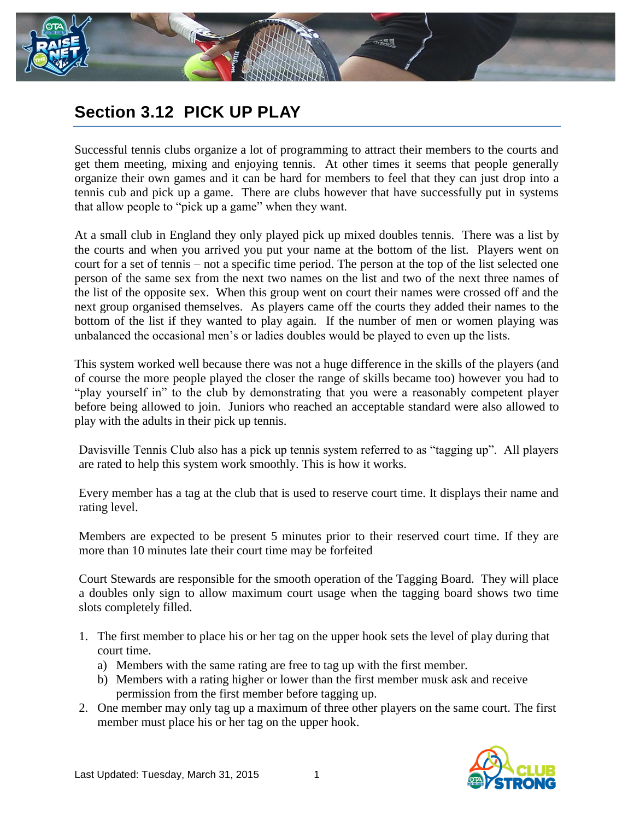

## **Section 3.12 PICK UP PLAY**

Successful tennis clubs organize a lot of programming to attract their members to the courts and get them meeting, mixing and enjoying tennis. At other times it seems that people generally organize their own games and it can be hard for members to feel that they can just drop into a tennis cub and pick up a game. There are clubs however that have successfully put in systems that allow people to "pick up a game" when they want.

At a small club in England they only played pick up mixed doubles tennis. There was a list by the courts and when you arrived you put your name at the bottom of the list. Players went on court for a set of tennis – not a specific time period. The person at the top of the list selected one person of the same sex from the next two names on the list and two of the next three names of the list of the opposite sex. When this group went on court their names were crossed off and the next group organised themselves. As players came off the courts they added their names to the bottom of the list if they wanted to play again. If the number of men or women playing was unbalanced the occasional men's or ladies doubles would be played to even up the lists.

This system worked well because there was not a huge difference in the skills of the players (and of course the more people played the closer the range of skills became too) however you had to "play yourself in" to the club by demonstrating that you were a reasonably competent player before being allowed to join. Juniors who reached an acceptable standard were also allowed to play with the adults in their pick up tennis.

Davisville Tennis Club also has a pick up tennis system referred to as "tagging up". All players are rated to help this system work smoothly. This is how it works.

Every member has a tag at the club that is used to reserve court time. It displays their name and rating level.

Members are expected to be present 5 minutes prior to their reserved court time. If they are more than 10 minutes late their court time may be forfeited

Court Stewards are responsible for the smooth operation of the Tagging Board. They will place a doubles only sign to allow maximum court usage when the tagging board shows two time slots completely filled.

- 1. The first member to place his or her tag on the upper hook sets the level of play during that court time.
	- a) Members with the same rating are free to tag up with the first member.
	- b) Members with a rating higher or lower than the first member musk ask and receive permission from the first member before tagging up.
- 2. One member may only tag up a maximum of three other players on the same court. The first member must place his or her tag on the upper hook.